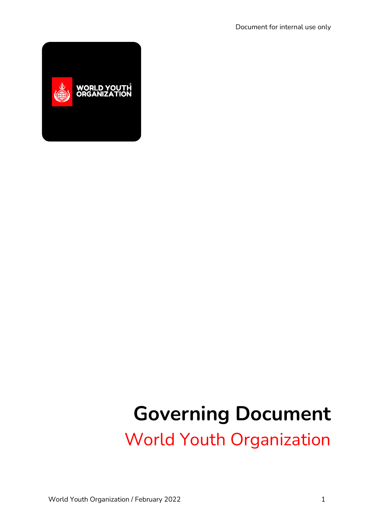

# **Governing Document** World Youth Organization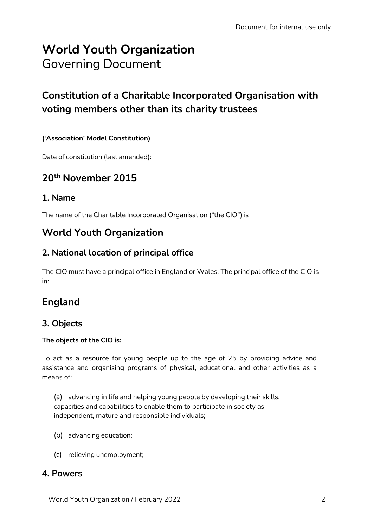# **World Youth Organization** Governing Document

## **Constitution of a Charitable Incorporated Organisation with voting members other than its charity trustees**

## **('Association' Model Constitution)**

Date of constitution (last amended):

## **20th November 2015**

## **1. Name**

The name of the Charitable Incorporated Organisation ("the CIO") is

## **World Youth Organization**

## **2. National location of principal office**

The CIO must have a principal office in England or Wales. The principal office of the CIO is in:

## **England**

## **3. Objects**

#### **The objects of the CIO is:**

To act as a resource for young people up to the age of 25 by providing advice and assistance and organising programs of physical, educational and other activities as a means of:

(a) advancing in life and helping young people by developing their skills, capacities and capabilities to enable them to participate in society as independent, mature and responsible individuals;

- (b) advancing education;
- (c) relieving unemployment;

## **4. Powers**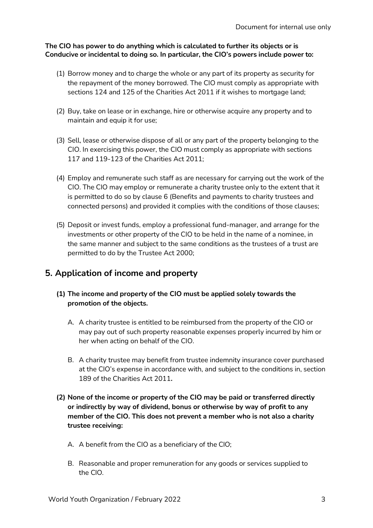#### **The CIO has power to do anything which is calculated to further its objects or is Conducive or incidental to doing so. In particular, the CIO's powers include power to:**

- (1) Borrow money and to charge the whole or any part of its property as security for the repayment of the money borrowed. The CIO must comply as appropriate with sections 124 and 125 of the Charities Act 2011 if it wishes to mortgage land;
- (2) Buy, take on lease or in exchange, hire or otherwise acquire any property and to maintain and equip it for use;
- (3) Sell, lease or otherwise dispose of all or any part of the property belonging to the CIO. In exercising this power, the CIO must comply as appropriate with sections 117 and 119-123 of the Charities Act 2011;
- (4) Employ and remunerate such staff as are necessary for carrying out the work of the CIO. The CIO may employ or remunerate a charity trustee only to the extent that it is permitted to do so by clause 6 (Benefits and payments to charity trustees and connected persons) and provided it complies with the conditions of those clauses;
- (5) Deposit or invest funds, employ a professional fund-manager, and arrange for the investments or other property of the CIO to be held in the name of a nominee, in the same manner and subject to the same conditions as the trustees of a trust are permitted to do by the Trustee Act 2000;

## **5. Application of income and property**

- **(1) The income and property of the CIO must be applied solely towards the promotion of the objects.**
	- A. A charity trustee is entitled to be reimbursed from the property of the CIO or may pay out of such property reasonable expenses properly incurred by him or her when acting on behalf of the CIO.
	- B. A charity trustee may benefit from trustee indemnity insurance cover purchased at the CIO's expense in accordance with, and subject to the conditions in, section 189 of the Charities Act 2011**.**
- **(2) None of the income or property of the CIO may be paid or transferred directly or indirectly by way of dividend, bonus or otherwise by way of profit to any member of the CIO. This does not prevent a member who is not also a charity trustee receiving:**
	- A. A benefit from the CIO as a beneficiary of the CIO;
	- B. Reasonable and proper remuneration for any goods or services supplied to the CIO.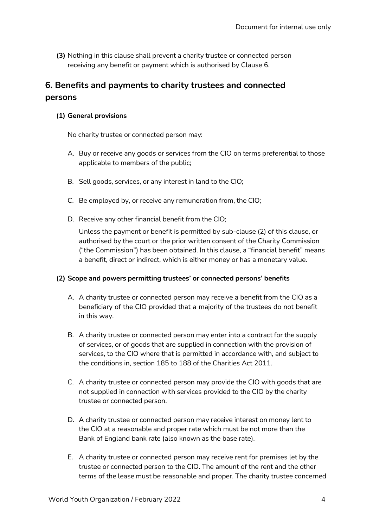**(3)** Nothing in this clause shall prevent a charity trustee or connected person receiving any benefit or payment which is authorised by Clause 6.

## **6. Benefits and payments to charity trustees and connected persons**

#### **(1) General provisions**

No charity trustee or connected person may:

- A. Buy or receive any goods or services from the CIO on terms preferential to those applicable to members of the public;
- B. Sell goods, services, or any interest in land to the CIO;
- C. Be employed by, or receive any remuneration from, the CIO;
- D. Receive any other financial benefit from the CIO;

Unless the payment or benefit is permitted by sub-clause (2) of this clause, or authorised by the court or the prior written consent of the Charity Commission ("the Commission") has been obtained. In this clause, a "financial benefit" means a benefit, direct or indirect, which is either money or has a monetary value.

#### **(2) Scope and powers permitting trustees' or connected persons' benefits**

- A. A charity trustee or connected person may receive a benefit from the CIO as a beneficiary of the CIO provided that a majority of the trustees do not benefit in this way.
- B. A charity trustee or connected person may enter into a contract for the supply of services, or of goods that are supplied in connection with the provision of services, to the CIO where that is permitted in accordance with, and subject to the conditions in, section 185 to 188 of the Charities Act 2011.
- C. A charity trustee or connected person may provide the CIO with goods that are not supplied in connection with services provided to the CIO by the charity trustee or connected person.
- D. A charity trustee or connected person may receive interest on money lent to the CIO at a reasonable and proper rate which must be not more than the Bank of England bank rate (also known as the base rate).
- E. A charity trustee or connected person may receive rent for premises let by the trustee or connected person to the CIO. The amount of the rent and the other terms of the lease must be reasonable and proper. The charity trustee concerned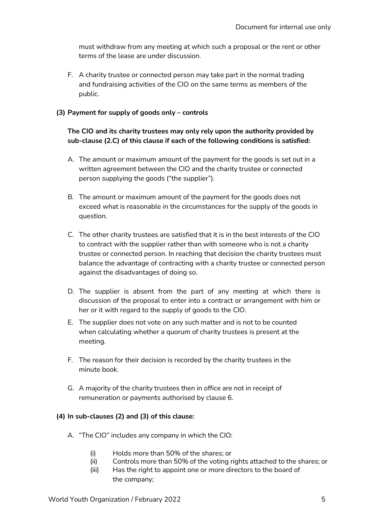must withdraw from any meeting at which such a proposal or the rent or other terms of the lease are under discussion.

F. A charity trustee or connected person may take part in the normal trading and fundraising activities of the CIO on the same terms as members of the public.

#### **(3) Payment for supply of goods only – controls**

#### **The CIO and its charity trustees may only rely upon the authority provided by sub-clause (2.C) of this clause if each of the following conditions is satisfied:**

- A. The amount or maximum amount of the payment for the goods is set out in a written agreement between the CIO and the charity trustee or connected person supplying the goods ("the supplier").
- B. The amount or maximum amount of the payment for the goods does not exceed what is reasonable in the circumstances for the supply of the goods in question.
- C. The other charity trustees are satisfied that it is in the best interests of the CIO to contract with the supplier rather than with someone who is not a charity trustee or connected person. In reaching that decision the charity trustees must balance the advantage of contracting with a charity trustee or connected person against the disadvantages of doing so.
- D. The supplier is absent from the part of any meeting at which there is discussion of the proposal to enter into a contract or arrangement with him or her or it with regard to the supply of goods to the CIO.
- E. The supplier does not vote on any such matter and is not to be counted when calculating whether a quorum of charity trustees is present at the meeting.
- F. The reason for their decision is recorded by the charity trustees in the minute book.
- G. A majority of the charity trustees then in office are not in receipt of remuneration or payments authorised by clause 6.

#### **(4) In sub-clauses (2) and (3) of this clause:**

- A. "The CIO" includes any company in which the CIO:
	- (i) Holds more than 50% of the shares; or
	- (ii) Controls more than 50% of the voting rights attached to the shares; or
	- (iii) Has the right to appoint one or more directors to the board of the company;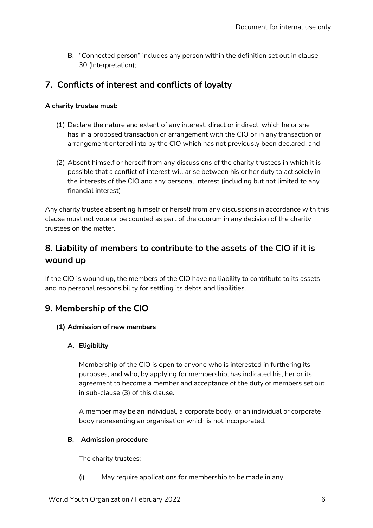B. "Connected person" includes any person within the definition set out in clause 30 (Interpretation);

## **7. Conflicts of interest and conflicts of loyalty**

#### **A charity trustee must:**

- (1) Declare the nature and extent of any interest, direct or indirect, which he or she has in a proposed transaction or arrangement with the CIO or in any transaction or arrangement entered into by the CIO which has not previously been declared; and
- (2) Absent himself or herself from any discussions of the charity trustees in which it is possible that a conflict of interest will arise between his or her duty to act solely in the interests of the CIO and any personal interest (including but not limited to any financial interest)

Any charity trustee absenting himself or herself from any discussions in accordance with this clause must not vote or be counted as part of the quorum in any decision of the charity trustees on the matter.

## **8. Liability of members to contribute to the assets of the CIO if it is wound up**

If the CIO is wound up, the members of the CIO have no liability to contribute to its assets and no personal responsibility for settling its debts and liabilities.

## **9. Membership of the CIO**

#### **(1) Admission of new members**

#### **A. Eligibility**

Membership of the CIO is open to anyone who is interested in furthering its purposes, and who, by applying for membership, has indicated his, her or its agreement to become a member and acceptance of the duty of members set out in sub-clause (3) of this clause.

A member may be an individual, a corporate body, or an individual or corporate body representing an organisation which is not incorporated.

#### **B. Admission procedure**

The charity trustees:

(i) May require applications for membership to be made in any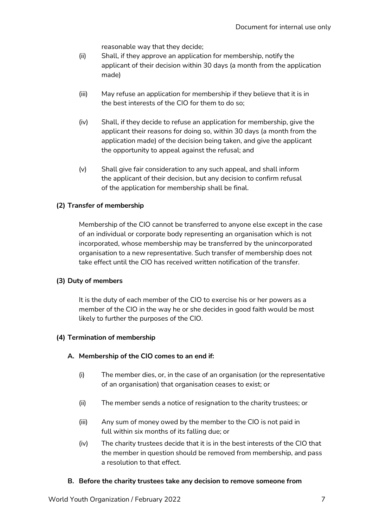reasonable way that they decide;

- (ii) Shall, if they approve an application for membership, notify the applicant of their decision within 30 days (a month from the application made)
- (iii) May refuse an application for membership if they believe that it is in the best interests of the CIO for them to do so;
- (iv) Shall, if they decide to refuse an application for membership, give the applicant their reasons for doing so, within 30 days (a month from the application made) of the decision being taken, and give the applicant the opportunity to appeal against the refusal; and
- (v) Shall give fair consideration to any such appeal, and shall inform the applicant of their decision, but any decision to confirm refusal of the application for membership shall be final.

#### **(2) Transfer of membership**

Membership of the CIO cannot be transferred to anyone else except in the case of an individual or corporate body representing an organisation which is not incorporated, whose membership may be transferred by the unincorporated organisation to a new representative. Such transfer of membership does not take effect until the CIO has received written notification of the transfer.

#### **(3) Duty of members**

It is the duty of each member of the CIO to exercise his or her powers as a member of the CIO in the way he or she decides in good faith would be most likely to further the purposes of the CIO.

#### **(4) Termination of membership**

#### **A. Membership of the CIO comes to an end if:**

- (i) The member dies, or, in the case of an organisation (or the representative of an organisation) that organisation ceases to exist; or
- (ii) The member sends a notice of resignation to the charity trustees; or
- (iii) Any sum of money owed by the member to the CIO is not paid in full within six months of its falling due; or
- (iv) The charity trustees decide that it is in the best interests of the CIO that the member in question should be removed from membership, and pass a resolution to that effect.

#### **B. Before the charity trustees take any decision to remove someone from**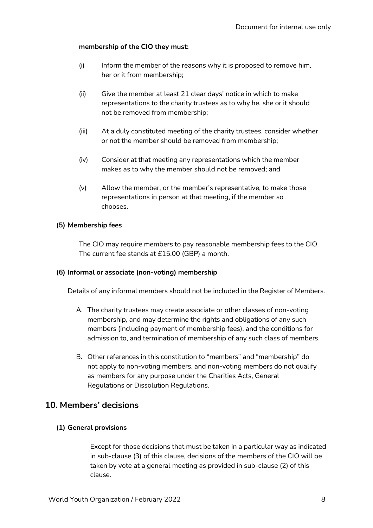#### **membership of the CIO they must:**

- (i) Inform the member of the reasons why it is proposed to remove him, her or it from membership;
- (ii) Give the member at least 21 clear days' notice in which to make representations to the charity trustees as to why he, she or it should not be removed from membership;
- (iii) At a duly constituted meeting of the charity trustees, consider whether or not the member should be removed from membership;
- (iv) Consider at that meeting any representations which the member makes as to why the member should not be removed; and
- (v) Allow the member, or the member's representative, to make those representations in person at that meeting, if the member so chooses.

#### **(5) Membership fees**

The CIO may require members to pay reasonable membership fees to the CIO. The current fee stands at £15.00 (GBP) a month.

#### **(6) Informal or associate (non-voting) membership**

Details of any informal members should not be included in the Register of Members.

- A. The charity trustees may create associate or other classes of non-voting membership, and may determine the rights and obligations of any such members (including payment of membership fees), and the conditions for admission to, and termination of membership of any such class of members.
- B. Other references in this constitution to "members" and "membership" do not apply to non-voting members, and non-voting members do not qualify as members for any purpose under the Charities Acts, General Regulations or Dissolution Regulations.

## **10. Members' decisions**

#### **(1) General provisions**

Except for those decisions that must be taken in a particular way as indicated in sub-clause (3) of this clause, decisions of the members of the CIO will be taken by vote at a general meeting as provided in sub-clause (2) of this clause.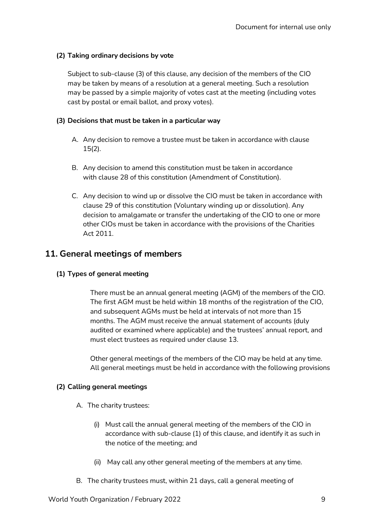#### **(2) Taking ordinary decisions by vote**

Subject to sub-clause (3) of this clause, any decision of the members of the CIO may be taken by means of a resolution at a general meeting. Such a resolution may be passed by a simple majority of votes cast at the meeting (including votes cast by postal or email ballot, and proxy votes).

#### **(3) Decisions that must be taken in a particular way**

- A. Any decision to remove a trustee must be taken in accordance with clause 15(2).
- B. Any decision to amend this constitution must be taken in accordance with clause 28 of this constitution (Amendment of Constitution).
- C. Any decision to wind up or dissolve the CIO must be taken in accordance with clause 29 of this constitution (Voluntary winding up or dissolution). Any decision to amalgamate or transfer the undertaking of the CIO to one or more other CIOs must be taken in accordance with the provisions of the Charities Act 2011.

## **11. General meetings of members**

#### **(1) Types of general meeting**

There must be an annual general meeting (AGM) of the members of the CIO. The first AGM must be held within 18 months of the registration of the CIO, and subsequent AGMs must be held at intervals of not more than 15 months. The AGM must receive the annual statement of accounts (duly audited or examined where applicable) and the trustees' annual report, and must elect trustees as required under clause 13.

Other general meetings of the members of the CIO may be held at any time. All general meetings must be held in accordance with the following provisions

#### **(2) Calling general meetings**

- A. The charity trustees:
	- (i) Must call the annual general meeting of the members of the CIO in accordance with sub-clause (1) of this clause, and identify it as such in the notice of the meeting; and
	- (ii) May call any other general meeting of the members at any time.
- B. The charity trustees must, within 21 days, call a general meeting of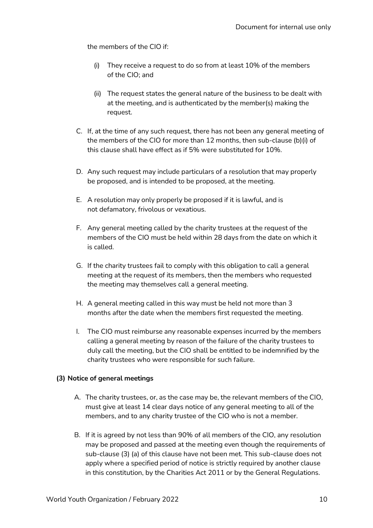the members of the CIO if:

- (i) They receive a request to do so from at least 10% of the members of the CIO; and
- (ii) The request states the general nature of the business to be dealt with at the meeting, and is authenticated by the member(s) making the request.
- C. If, at the time of any such request, there has not been any general meeting of the members of the CIO for more than 12 months, then sub-clause (b)(i) of this clause shall have effect as if 5% were substituted for 10%.
- D. Any such request may include particulars of a resolution that may properly be proposed, and is intended to be proposed, at the meeting.
- E. A resolution may only properly be proposed if it is lawful, and is not defamatory, frivolous or vexatious.
- F. Any general meeting called by the charity trustees at the request of the members of the CIO must be held within 28 days from the date on which it is called.
- G. If the charity trustees fail to comply with this obligation to call a general meeting at the request of its members, then the members who requested the meeting may themselves call a general meeting.
- H. A general meeting called in this way must be held not more than 3 months after the date when the members first requested the meeting.
- I. The CIO must reimburse any reasonable expenses incurred by the members calling a general meeting by reason of the failure of the charity trustees to duly call the meeting, but the CIO shall be entitled to be indemnified by the charity trustees who were responsible for such failure.

#### **(3) Notice of general meetings**

- A. The charity trustees, or, as the case may be, the relevant members of the CIO, must give at least 14 clear days notice of any general meeting to all of the members, and to any charity trustee of the CIO who is not a member.
- B. If it is agreed by not less than 90% of all members of the CIO, any resolution may be proposed and passed at the meeting even though the requirements of sub-clause (3) (a) of this clause have not been met. This sub-clause does not apply where a specified period of notice is strictly required by another clause in this constitution, by the Charities Act 2011 or by the General Regulations.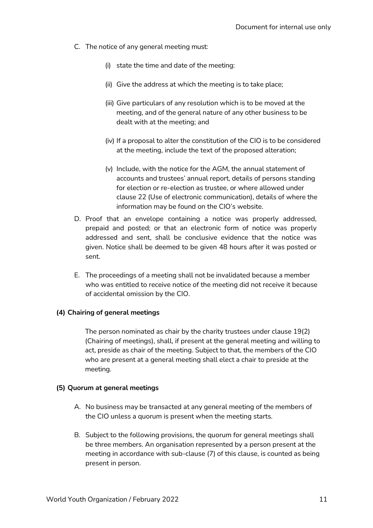- C. The notice of any general meeting must:
	- (i) state the time and date of the meeting:
	- (ii) Give the address at which the meeting is to take place;
	- (iii) Give particulars of any resolution which is to be moved at the meeting, and of the general nature of any other business to be dealt with at the meeting; and
	- (iv) If a proposal to alter the constitution of the CIO is to be considered at the meeting, include the text of the proposed alteration;
	- (v) Include, with the notice for the AGM, the annual statement of accounts and trustees' annual report, details of persons standing for election or re-election as trustee, or where allowed under clause 22 (Use of electronic communication), details of where the information may be found on the CIO's website.
- D. Proof that an envelope containing a notice was properly addressed, prepaid and posted; or that an electronic form of notice was properly addressed and sent, shall be conclusive evidence that the notice was given. Notice shall be deemed to be given 48 hours after it was posted or sent.
- E. The proceedings of a meeting shall not be invalidated because a member who was entitled to receive notice of the meeting did not receive it because of accidental omission by the CIO.

#### **(4) Chairing of general meetings**

The person nominated as chair by the charity trustees under clause 19(2) (Chairing of meetings), shall, if present at the general meeting and willing to act, preside as chair of the meeting. Subject to that, the members of the CIO who are present at a general meeting shall elect a chair to preside at the meeting.

#### **(5) Quorum at general meetings**

- A. No business may be transacted at any general meeting of the members of the CIO unless a quorum is present when the meeting starts.
- B. Subject to the following provisions, the quorum for general meetings shall be three members. An organisation represented by a person present at the meeting in accordance with sub-clause (7) of this clause, is counted as being present in person.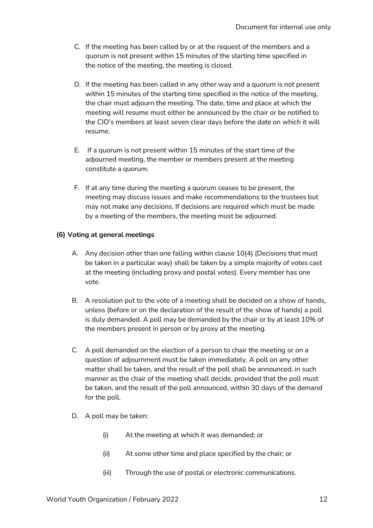- C. If the meeting has been called by or at the request of the members and a quorum is not present within 15 minutes of the starting time specified in the notice of the meeting, the meeting is closed.
- D. If the meeting has been called in any other way and a quorum is not present within 15 minutes of the starting time specified in the notice of the meeting, the chair must adjourn the meeting. The date, time and place at which the meeting will resume must either be announced by the chair or be notified to the CIO's members at least seven clear days before the date on which it will resume.
- E. If a quorum is not present within 15 minutes of the start time of the adjourned meeting, the member or members present at the meeting constitute a quorum.
- F. If at any time during the meeting a quorum ceases to be present, the meeting may discuss issues and make recommendations to the trustees but may not make any decisions. If decisions are required which must be made by a meeting of the members, the meeting must be adjourned.

#### **(6) Voting at general meetings**

- A. Any decision other than one falling within clause 10(4) (Decisions that must be taken in a particular way) shall be taken by a simple majority of votes cast at the meeting (including proxy and postal votes). Every member has one vote.
- B. A resolution put to the vote of a meeting shall be decided on a show of hands, unless (before or on the declaration of the result of the show of hands) a poll is duly demanded. A poll may be demanded by the chair or by at least 10% of the members present in person or by proxy at the meeting.
- C. A poll demanded on the election of a person to chair the meeting or on a question of adjournment must be taken immediately. A poll on any other matter shall be taken, and the result of the poll shall be announced, in such manner as the chair of the meeting shall decide, provided that the poll must be taken, and the result of the poll announced, within 30 days of the demand for the poll.
- D. A poll may be taken:
	- (i) At the meeting at which it was demanded; or
	- (ii) At some other time and place specified by the chair; or
	- (iii) Through the use of postal or electronic communications.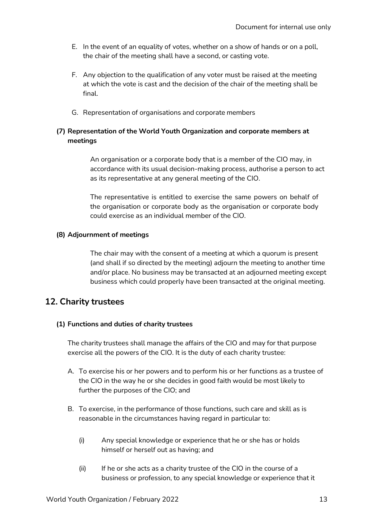- E. In the event of an equality of votes, whether on a show of hands or on a poll, the chair of the meeting shall have a second, or casting vote.
- F. Any objection to the qualification of any voter must be raised at the meeting at which the vote is cast and the decision of the chair of the meeting shall be final.
- G. Representation of organisations and corporate members

#### **(7) Representation of the World Youth Organization and corporate members at meetings**

An organisation or a corporate body that is a member of the CIO may, in accordance with its usual decision-making process, authorise a person to act as its representative at any general meeting of the CIO.

The representative is entitled to exercise the same powers on behalf of the organisation or corporate body as the organisation or corporate body could exercise as an individual member of the CIO.

#### **(8) Adjournment of meetings**

The chair may with the consent of a meeting at which a quorum is present (and shall if so directed by the meeting) adjourn the meeting to another time and/or place. No business may be transacted at an adjourned meeting except business which could properly have been transacted at the original meeting.

### **12. Charity trustees**

#### **(1) Functions and duties of charity trustees**

The charity trustees shall manage the affairs of the CIO and may for that purpose exercise all the powers of the CIO. It is the duty of each charity trustee:

- A. To exercise his or her powers and to perform his or her functions as a trustee of the CIO in the way he or she decides in good faith would be most likely to further the purposes of the CIO; and
- B. To exercise, in the performance of those functions, such care and skill as is reasonable in the circumstances having regard in particular to:
	- (i) Any special knowledge or experience that he or she has or holds himself or herself out as having; and
	- (ii) If he or she acts as a charity trustee of the CIO in the course of a business or profession, to any special knowledge or experience that it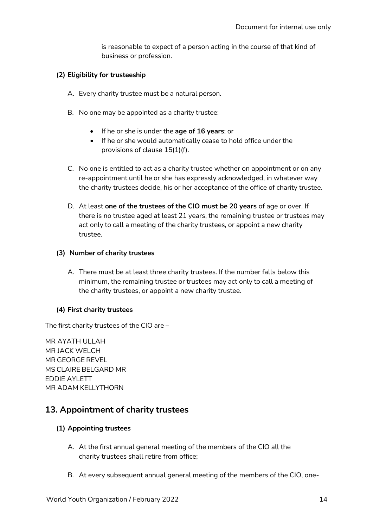is reasonable to expect of a person acting in the course of that kind of business or profession.

#### **(2) Eligibility for trusteeship**

- A. Every charity trustee must be a natural person.
- B. No one may be appointed as a charity trustee:
	- If he or she is under the **age of 16 years**; or
	- If he or she would automatically cease to hold office under the provisions of clause 15(1)(f).
- C. No one is entitled to act as a charity trustee whether on appointment or on any re-appointment until he or she has expressly acknowledged, in whatever way the charity trustees decide, his or her acceptance of the office of charity trustee.
- D. At least **one of the trustees of the CIO must be 20 years** of age or over. If there is no trustee aged at least 21 years, the remaining trustee or trustees may act only to call a meeting of the charity trustees, or appoint a new charity trustee.

#### **(3) Number of charity trustees**

A. There must be at least three charity trustees. If the number falls below this minimum, the remaining trustee or trustees may act only to call a meeting of the charity trustees, or appoint a new charity trustee.

#### **(4) First charity trustees**

The first charity trustees of the CIO are –

MR AYATH ULLAH MR JACK WELCH MR GEORGE REVEL MS CLAIRE BELGARD MR EDDIE AYLETT MR ADAM KELLYTHORN

## **13. Appointment of charity trustees**

#### **(1) Appointing trustees**

- A. At the first annual general meeting of the members of the CIO all the charity trustees shall retire from office;
- B. At every subsequent annual general meeting of the members of the CIO, one-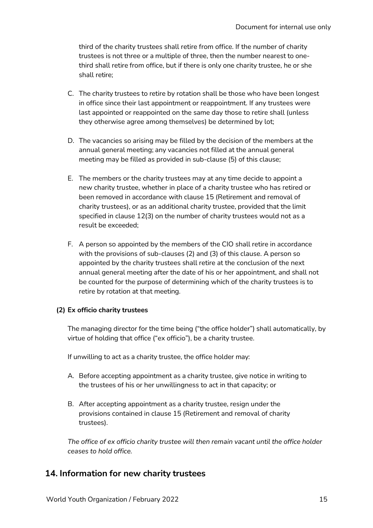third of the charity trustees shall retire from office. If the number of charity trustees is not three or a multiple of three, then the number nearest to onethird shall retire from office, but if there is only one charity trustee, he or she shall retire;

- C. The charity trustees to retire by rotation shall be those who have been longest in office since their last appointment or reappointment. If any trustees were last appointed or reappointed on the same day those to retire shall (unless they otherwise agree among themselves) be determined by lot;
- D. The vacancies so arising may be filled by the decision of the members at the annual general meeting; any vacancies not filled at the annual general meeting may be filled as provided in sub-clause (5) of this clause;
- E. The members or the charity trustees may at any time decide to appoint a new charity trustee, whether in place of a charity trustee who has retired or been removed in accordance with clause 15 (Retirement and removal of charity trustees), or as an additional charity trustee, provided that the limit specified in clause 12(3) on the number of charity trustees would not as a result be exceeded;
- F. A person so appointed by the members of the CIO shall retire in accordance with the provisions of sub-clauses (2) and (3) of this clause. A person so appointed by the charity trustees shall retire at the conclusion of the next annual general meeting after the date of his or her appointment, and shall not be counted for the purpose of determining which of the charity trustees is to retire by rotation at that meeting.

#### **(2) Ex officio charity trustees**

The managing director for the time being ("the office holder") shall automatically, by virtue of holding that office ("ex officio"), be a charity trustee.

If unwilling to act as a charity trustee, the office holder may:

- A. Before accepting appointment as a charity trustee, give notice in writing to the trustees of his or her unwillingness to act in that capacity; or
- B. After accepting appointment as a charity trustee, resign under the provisions contained in clause 15 (Retirement and removal of charity trustees).

*The office of ex officio charity trustee will then remain vacant until the office holder ceases to hold office.*

## **14. Information for new charity trustees**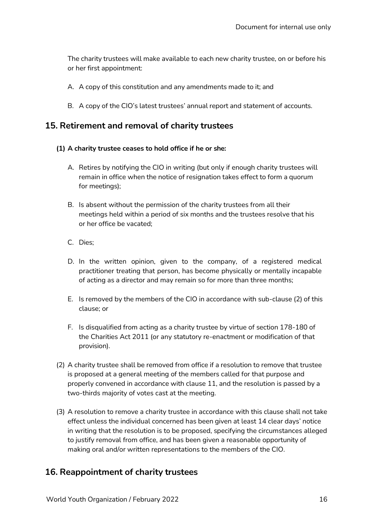The charity trustees will make available to each new charity trustee, on or before his or her first appointment:

- A. A copy of this constitution and any amendments made to it; and
- B. A copy of the CIO's latest trustees' annual report and statement of accounts.

## **15. Retirement and removal of charity trustees**

#### **(1) A charity trustee ceases to hold office if he or she:**

- A. Retires by notifying the CIO in writing (but only if enough charity trustees will remain in office when the notice of resignation takes effect to form a quorum for meetings);
- B. Is absent without the permission of the charity trustees from all their meetings held within a period of six months and the trustees resolve that his or her office be vacated;
- C. Dies;
- D. In the written opinion, given to the company, of a registered medical practitioner treating that person, has become physically or mentally incapable of acting as a director and may remain so for more than three months;
- E. Is removed by the members of the CIO in accordance with sub-clause (2) of this clause; or
- F. Is disqualified from acting as a charity trustee by virtue of section 178-180 of the Charities Act 2011 (or any statutory re-enactment or modification of that provision).
- (2) A charity trustee shall be removed from office if a resolution to remove that trustee is proposed at a general meeting of the members called for that purpose and properly convened in accordance with clause 11, and the resolution is passed by a two-thirds majority of votes cast at the meeting.
- (3) A resolution to remove a charity trustee in accordance with this clause shall not take effect unless the individual concerned has been given at least 14 clear days' notice in writing that the resolution is to be proposed, specifying the circumstances alleged to justify removal from office, and has been given a reasonable opportunity of making oral and/or written representations to the members of the CIO.

## **16. Reappointment of charity trustees**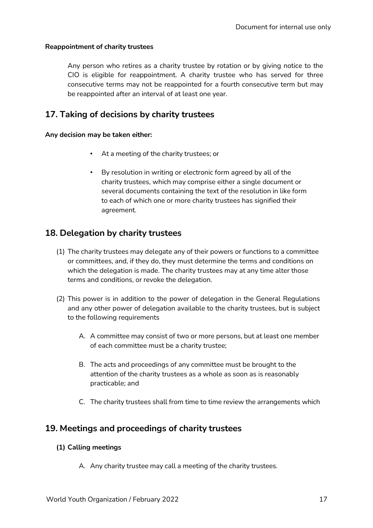#### **Reappointment of charity trustees**

Any person who retires as a charity trustee by rotation or by giving notice to the CIO is eligible for reappointment. A charity trustee who has served for three consecutive terms may not be reappointed for a fourth consecutive term but may be reappointed after an interval of at least one year.

## **17. Taking of decisions by charity trustees**

#### **Any decision may be taken either:**

- At a meeting of the charity trustees; or
- By resolution in writing or electronic form agreed by all of the charity trustees, which may comprise either a single document or several documents containing the text of the resolution in like form to each of which one or more charity trustees has signified their agreement.

## **18. Delegation by charity trustees**

- (1) The charity trustees may delegate any of their powers or functions to a committee or committees, and, if they do, they must determine the terms and conditions on which the delegation is made. The charity trustees may at any time alter those terms and conditions, or revoke the delegation.
- (2) This power is in addition to the power of delegation in the General Regulations and any other power of delegation available to the charity trustees, but is subject to the following requirements
	- A. A committee may consist of two or more persons, but at least one member of each committee must be a charity trustee;
	- B. The acts and proceedings of any committee must be brought to the attention of the charity trustees as a whole as soon as is reasonably practicable; and
	- C. The charity trustees shall from time to time review the arrangements which

## **19. Meetings and proceedings of charity trustees**

#### **(1) Calling meetings**

A. Any charity trustee may call a meeting of the charity trustees.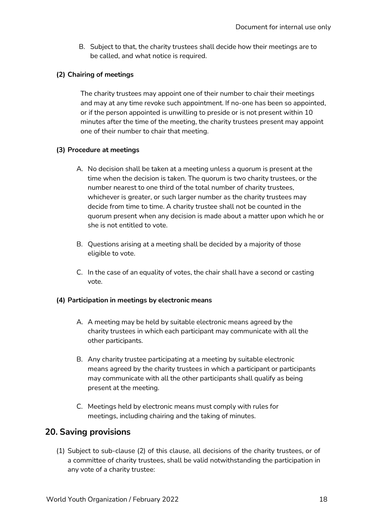B. Subject to that, the charity trustees shall decide how their meetings are to be called, and what notice is required.

#### **(2) Chairing of meetings**

The charity trustees may appoint one of their number to chair their meetings and may at any time revoke such appointment. If no-one has been so appointed, or if the person appointed is unwilling to preside or is not present within 10 minutes after the time of the meeting, the charity trustees present may appoint one of their number to chair that meeting.

#### **(3) Procedure at meetings**

- A. No decision shall be taken at a meeting unless a quorum is present at the time when the decision is taken. The quorum is two charity trustees, or the number nearest to one third of the total number of charity trustees, whichever is greater, or such larger number as the charity trustees may decide from time to time. A charity trustee shall not be counted in the quorum present when any decision is made about a matter upon which he or she is not entitled to vote.
- B. Questions arising at a meeting shall be decided by a majority of those eligible to vote.
- C. In the case of an equality of votes, the chair shall have a second or casting vote.

#### **(4) Participation in meetings by electronic means**

- A. A meeting may be held by suitable electronic means agreed by the charity trustees in which each participant may communicate with all the other participants.
- B. Any charity trustee participating at a meeting by suitable electronic means agreed by the charity trustees in which a participant or participants may communicate with all the other participants shall qualify as being present at the meeting.
- C. Meetings held by electronic means must comply with rules for meetings, including chairing and the taking of minutes.

### **20. Saving provisions**

(1) Subject to sub-clause (2) of this clause, all decisions of the charity trustees, or of a committee of charity trustees, shall be valid notwithstanding the participation in any vote of a charity trustee: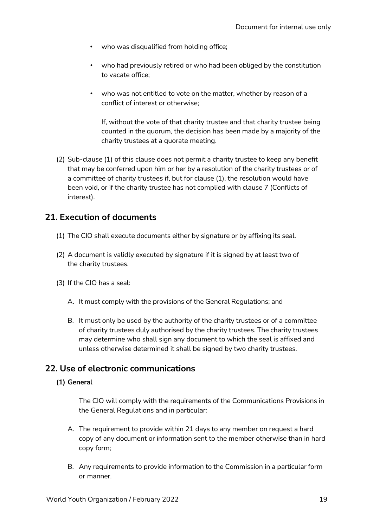- who was disqualified from holding office;
- who had previously retired or who had been obliged by the constitution to vacate office;
- who was not entitled to vote on the matter, whether by reason of a conflict of interest or otherwise;

If, without the vote of that charity trustee and that charity trustee being counted in the quorum, the decision has been made by a majority of the charity trustees at a quorate meeting.

(2) Sub-clause (1) of this clause does not permit a charity trustee to keep any benefit that may be conferred upon him or her by a resolution of the charity trustees or of a committee of charity trustees if, but for clause (1), the resolution would have been void, or if the charity trustee has not complied with clause 7 (Conflicts of interest).

## **21. Execution of documents**

- (1) The CIO shall execute documents either by signature or by affixing its seal.
- (2) A document is validly executed by signature if it is signed by at least two of the charity trustees.
- (3) If the CIO has a seal:
	- A. It must comply with the provisions of the General Regulations; and
	- B. It must only be used by the authority of the charity trustees or of a committee of charity trustees duly authorised by the charity trustees. The charity trustees may determine who shall sign any document to which the seal is affixed and unless otherwise determined it shall be signed by two charity trustees.

## **22. Use of electronic communications**

#### **(1) General**

The CIO will comply with the requirements of the Communications Provisions in the General Regulations and in particular:

- A. The requirement to provide within 21 days to any member on request a hard copy of any document or information sent to the member otherwise than in hard copy form;
- B. Any requirements to provide information to the Commission in a particular form or manner.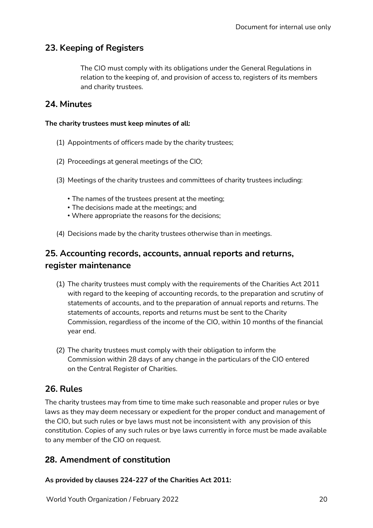## **23. Keeping of Registers**

The CIO must comply with its obligations under the General Regulations in relation to the keeping of, and provision of access to, registers of its members and charity trustees.

## **24. Minutes**

#### **The charity trustees must keep minutes of all:**

- (1) Appointments of officers made by the charity trustees;
- (2) Proceedings at general meetings of the CIO;
- (3) Meetings of the charity trustees and committees of charity trustees including:
	- The names of the trustees present at the meeting;
	- The decisions made at the meetings; and
	- Where appropriate the reasons for the decisions;
- (4) Decisions made by the charity trustees otherwise than in meetings.

## **25. Accounting records, accounts, annual reports and returns, register maintenance**

- (1) The charity trustees must comply with the requirements of the Charities Act 2011 with regard to the keeping of accounting records, to the preparation and scrutiny of statements of accounts, and to the preparation of annual reports and returns. The statements of accounts, reports and returns must be sent to the Charity Commission, regardless of the income of the CIO, within 10 months of the financial year end.
- (2) The charity trustees must comply with their obligation to inform the Commission within 28 days of any change in the particulars of the CIO entered on the Central Register of Charities.

## **26. Rules**

The charity trustees may from time to time make such reasonable and proper rules or bye laws as they may deem necessary or expedient for the proper conduct and management of the CIO, but such rules or bye laws must not be inconsistent with any provision of this constitution. Copies of any such rules or bye laws currently in force must be made available to any member of the CIO on request.

## **28. Amendment of constitution**

**As provided by clauses 224-227 of the Charities Act 2011:**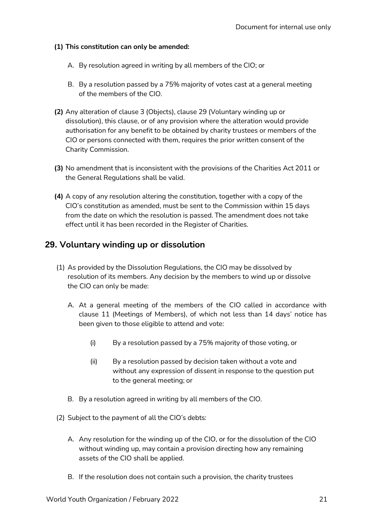#### **(1) This constitution can only be amended:**

- A. By resolution agreed in writing by all members of the CIO; or
- B. By a resolution passed by a 75% majority of votes cast at a general meeting of the members of the CIO.
- **(2)** Any alteration of clause 3 (Objects), clause 29 (Voluntary winding up or dissolution), this clause, or of any provision where the alteration would provide authorisation for any benefit to be obtained by charity trustees or members of the CIO or persons connected with them, requires the prior written consent of the Charity Commission.
- **(3)** No amendment that is inconsistent with the provisions of the Charities Act 2011 or the General Regulations shall be valid.
- **(4)** A copy of any resolution altering the constitution, together with a copy of the CIO's constitution as amended, must be sent to the Commission within 15 days from the date on which the resolution is passed. The amendment does not take effect until it has been recorded in the Register of Charities.

## **29. Voluntary winding up or dissolution**

- (1) As provided by the Dissolution Regulations, the CIO may be dissolved by resolution of its members. Any decision by the members to wind up or dissolve the CIO can only be made:
	- A. At a general meeting of the members of the CIO called in accordance with clause 11 (Meetings of Members), of which not less than 14 days' notice has been given to those eligible to attend and vote:
		- (i) By a resolution passed by a 75% majority of those voting, or
		- (ii) By a resolution passed by decision taken without a vote and without any expression of dissent in response to the question put to the general meeting; or
	- B. By a resolution agreed in writing by all members of the CIO.
- (2) Subject to the payment of all the CIO's debts:
	- A. Any resolution for the winding up of the CIO, or for the dissolution of the CIO without winding up, may contain a provision directing how any remaining assets of the CIO shall be applied.
	- B. If the resolution does not contain such a provision, the charity trustees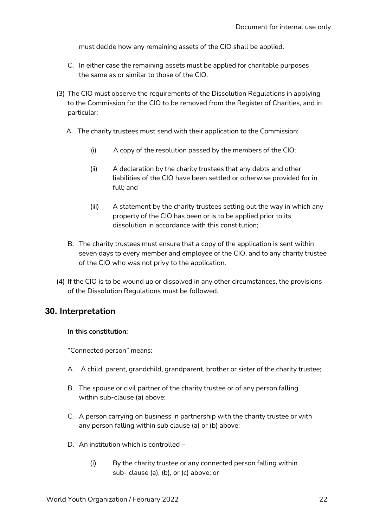must decide how any remaining assets of the CIO shall be applied.

- C. In either case the remaining assets must be applied for charitable purposes the same as or similar to those of the CIO.
- (3) The CIO must observe the requirements of the Dissolution Regulations in applying to the Commission for the CIO to be removed from the Register of Charities, and in particular:
	- A. The charity trustees must send with their application to the Commission:
		- (i) A copy of the resolution passed by the members of the CIO;
		- (ii) A declaration by the charity trustees that any debts and other liabilities of the CIO have been settled or otherwise provided for in full; and
		- (iii) A statement by the charity trustees setting out the way in which any property of the CIO has been or is to be applied prior to its dissolution in accordance with this constitution;
	- B. The charity trustees must ensure that a copy of the application is sent within seven days to every member and employee of the CIO, and to any charity trustee of the CIO who was not privy to the application.
- (4) If the CIO is to be wound up or dissolved in any other circumstances, the provisions of the Dissolution Regulations must be followed.

## **30. Interpretation**

#### **In this constitution:**

"Connected person" means:

- A. A child, parent, grandchild, grandparent, brother or sister of the charity trustee;
- B. The spouse or civil partner of the charity trustee or of any person falling within sub-clause (a) above;
- C. A person carrying on business in partnership with the charity trustee or with any person falling within sub clause (a) or (b) above;
- D. An institution which is controlled
	- (i) By the charity trustee or any connected person falling within sub- clause (a), (b), or (c) above; or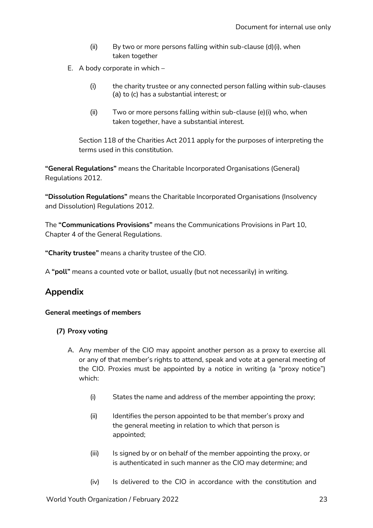- (ii) By two or more persons falling within sub-clause (d)(i), when taken together
- E. A body corporate in which
	- (i) the charity trustee or any connected person falling within sub-clauses (a) to (c) has a substantial interest; or
	- (ii) Two or more persons falling within sub-clause (e)(i) who, when taken together, have a substantial interest.

Section 118 of the Charities Act 2011 apply for the purposes of interpreting the terms used in this constitution.

**"General Regulations"** means the Charitable Incorporated Organisations (General) Regulations 2012.

**"Dissolution Regulations"** means the Charitable Incorporated Organisations (Insolvency and Dissolution) Regulations 2012.

The **"Communications Provisions"** means the Communications Provisions in Part 10, Chapter 4 of the General Regulations.

**"Charity trustee"** means a charity trustee of the CIO.

A **"poll"** means a counted vote or ballot, usually (but not necessarily) in writing.

## **Appendix**

#### **General meetings of members**

#### **(7) Proxy voting**

- A. Any member of the CIO may appoint another person as a proxy to exercise all or any of that member's rights to attend, speak and vote at a general meeting of the CIO. Proxies must be appointed by a notice in writing (a "proxy notice") which:
	- (i) States the name and address of the member appointing the proxy;
	- (ii) Identifies the person appointed to be that member's proxy and the general meeting in relation to which that person is appointed;
	- (iii) Is signed by or on behalf of the member appointing the proxy, or is authenticated in such manner as the CIO may determine; and
	- (iv) Is delivered to the CIO in accordance with the constitution and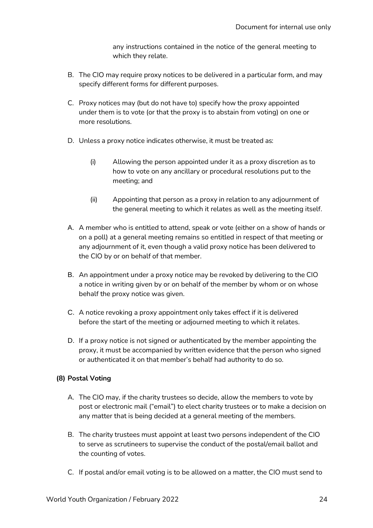any instructions contained in the notice of the general meeting to which they relate.

- B. The CIO may require proxy notices to be delivered in a particular form, and may specify different forms for different purposes.
- C. Proxy notices may (but do not have to) specify how the proxy appointed under them is to vote (or that the proxy is to abstain from voting) on one or more resolutions.
- D. Unless a proxy notice indicates otherwise, it must be treated as:
	- (i) Allowing the person appointed under it as a proxy discretion as to how to vote on any ancillary or procedural resolutions put to the meeting; and
	- (ii) Appointing that person as a proxy in relation to any adjournment of the general meeting to which it relates as well as the meeting itself.
- A. A member who is entitled to attend, speak or vote (either on a show of hands or on a poll) at a general meeting remains so entitled in respect of that meeting or any adjournment of it, even though a valid proxy notice has been delivered to the CIO by or on behalf of that member.
- B. An appointment under a proxy notice may be revoked by delivering to the CIO a notice in writing given by or on behalf of the member by whom or on whose behalf the proxy notice was given.
- C. A notice revoking a proxy appointment only takes effect if it is delivered before the start of the meeting or adjourned meeting to which it relates.
- D. If a proxy notice is not signed or authenticated by the member appointing the proxy, it must be accompanied by written evidence that the person who signed or authenticated it on that member's behalf had authority to do so.

#### **(8) Postal Voting**

- A. The CIO may, if the charity trustees so decide, allow the members to vote by post or electronic mail ("email") to elect charity trustees or to make a decision on any matter that is being decided at a general meeting of the members.
- B. The charity trustees must appoint at least two persons independent of the CIO to serve as scrutineers to supervise the conduct of the postal/email ballot and the counting of votes.
- C. If postal and/or email voting is to be allowed on a matter, the CIO must send to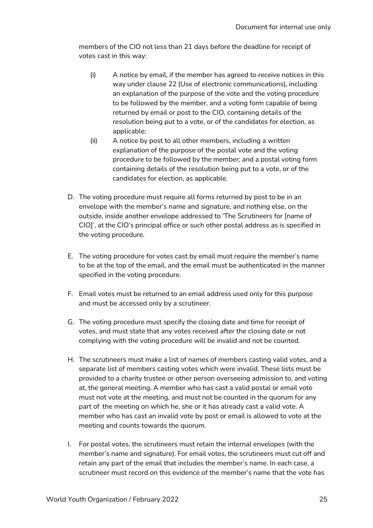members of the CIO not less than 21 days before the deadline for receipt of votes cast in this way:

- (i) A notice by email, if the member has agreed to receive notices in this way under clause 22 (Use of electronic communications), including an explanation of the purpose of the vote and the voting procedure to be followed by the member, and a voting form capable of being returned by email or post to the CIO, containing details of the resolution being put to a vote, or of the candidates for election, as applicable;
- (ii) A notice by post to all other members, including a written explanation of the purpose of the postal vote and the voting procedure to be followed by the member; and a postal voting form containing details of the resolution being put to a vote, or of the candidates for election, as applicable.
- D. The voting procedure must require all forms returned by post to be in an envelope with the member's name and signature, and nothing else, on the outside, inside another envelope addressed to 'The Scrutineers for [name of CIO]', at the CIO's principal office or such other postal address as is specified in the voting procedure.
- E. The voting procedure for votes cast by email must require the member's name to be at the top of the email, and the email must be authenticated in the manner specified in the voting procedure.
- F. Email votes must be returned to an email address used only for this purpose and must be accessed only by a scrutineer.
- G. The voting procedure must specify the closing date and time for receipt of votes, and must state that any votes received after the closing date or not complying with the voting procedure will be invalid and not be counted.
- H. The scrutineers must make a list of names of members casting valid votes, and a separate list of members casting votes which were invalid. These lists must be provided to a charity trustee or other person overseeing admission to, and voting at, the general meeting. A member who has cast a valid postal or email vote must not vote at the meeting, and must not be counted in the quorum for any part of the meeting on which he, she or it has already cast a valid vote. A member who has cast an invalid vote by post or email is allowed to vote at the meeting and counts towards the quorum.
- I. For postal votes, the scrutineers must retain the internal envelopes (with the member's name and signature). For email votes, the scrutineers must cut off and retain any part of the email that includes the member's name. In each case, a scrutineer must record on this evidence of the member's name that the vote has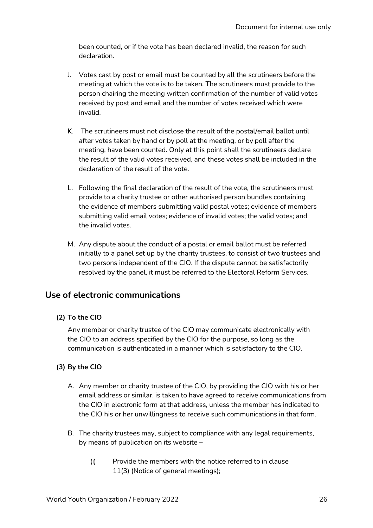been counted, or if the vote has been declared invalid, the reason for such declaration.

- J. Votes cast by post or email must be counted by all the scrutineers before the meeting at which the vote is to be taken. The scrutineers must provide to the person chairing the meeting written confirmation of the number of valid votes received by post and email and the number of votes received which were invalid.
- K. The scrutineers must not disclose the result of the postal/email ballot until after votes taken by hand or by poll at the meeting, or by poll after the meeting, have been counted. Only at this point shall the scrutineers declare the result of the valid votes received, and these votes shall be included in the declaration of the result of the vote.
- L. Following the final declaration of the result of the vote, the scrutineers must provide to a charity trustee or other authorised person bundles containing the evidence of members submitting valid postal votes; evidence of members submitting valid email votes; evidence of invalid votes; the valid votes; and the invalid votes.
- M. Any dispute about the conduct of a postal or email ballot must be referred initially to a panel set up by the charity trustees, to consist of two trustees and two persons independent of the CIO. If the dispute cannot be satisfactorily resolved by the panel, it must be referred to the Electoral Reform Services.

## **Use of electronic communications**

#### **(2) To the CIO**

Any member or charity trustee of the CIO may communicate electronically with the CIO to an address specified by the CIO for the purpose, so long as the communication is authenticated in a manner which is satisfactory to the CIO.

#### **(3) By the CIO**

- A. Any member or charity trustee of the CIO, by providing the CIO with his or her email address or similar, is taken to have agreed to receive communications from the CIO in electronic form at that address, unless the member has indicated to the CIO his or her unwillingness to receive such communications in that form.
- B. The charity trustees may, subject to compliance with any legal requirements, by means of publication on its website –
	- (i) Provide the members with the notice referred to in clause 11(3) (Notice of general meetings);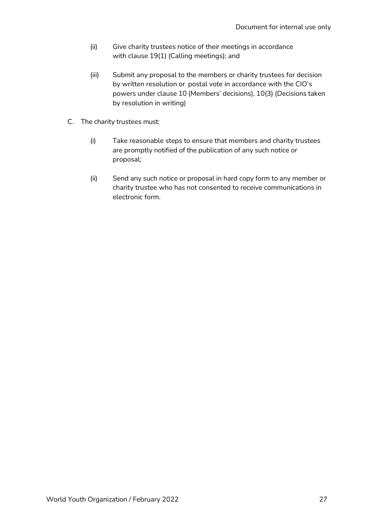- (ii) Give charity trustees notice of their meetings in accordance with clause 19(1) (Calling meetings); and
- (iii) Submit any proposal to the members or charity trustees for decision by written resolution or postal vote in accordance with the CIO's powers under clause 10 (Members' decisions), 10(3) (Decisions taken by resolution in writing)
- C. The charity trustees must:
	- (i) Take reasonable steps to ensure that members and charity trustees are promptly notified of the publication of any such notice or proposal;
	- (ii) Send any such notice or proposal in hard copy form to any member or charity trustee who has not consented to receive communications in electronic form.